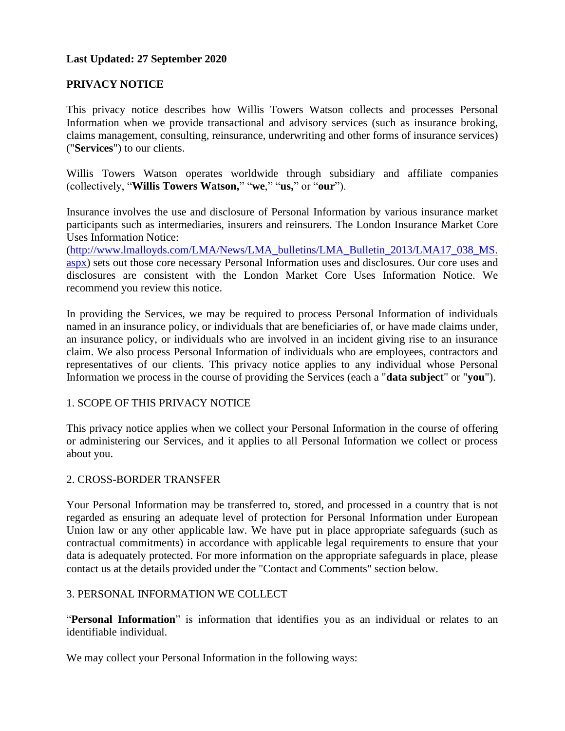### **Last Updated: 27 September 2020**

### **PRIVACY NOTICE**

This privacy notice describes how Willis Towers Watson collects and processes Personal Information when we provide transactional and advisory services (such as insurance broking, claims management, consulting, reinsurance, underwriting and other forms of insurance services) ("**Services**") to our clients.

Willis Towers Watson operates worldwide through subsidiary and affiliate companies (collectively, "**Willis Towers Watson,**" "**we**," "**us,**" or "**our**").

Insurance involves the use and disclosure of Personal Information by various insurance market participants such as intermediaries, insurers and reinsurers. The London Insurance Market Core Uses Information Notice:

[\(http://www.lmalloyds.com/LMA/News/LMA\\_bulletins/LMA\\_Bulletin\\_2013/LMA17\\_038\\_MS.](http://www.lmalloyds.com/LMA/News/LMA_bulletins/LMA_Bulletin_2013/LMA17_038_MS.aspx) [aspx\)](http://www.lmalloyds.com/LMA/News/LMA_bulletins/LMA_Bulletin_2013/LMA17_038_MS.aspx) sets out those core necessary Personal Information uses and disclosures. Our core uses and disclosures are consistent with the London Market Core Uses Information Notice. We recommend you review this notice.

In providing the Services, we may be required to process Personal Information of individuals named in an insurance policy, or individuals that are beneficiaries of, or have made claims under, an insurance policy, or individuals who are involved in an incident giving rise to an insurance claim. We also process Personal Information of individuals who are employees, contractors and representatives of our clients. This privacy notice applies to any individual whose Personal Information we process in the course of providing the Services (each a "**data subject**" or "**you**").

#### 1. SCOPE OF THIS PRIVACY NOTICE

This privacy notice applies when we collect your Personal Information in the course of offering or administering our Services, and it applies to all Personal Information we collect or process about you.

#### 2. CROSS-BORDER TRANSFER

Your Personal Information may be transferred to, stored, and processed in a country that is not regarded as ensuring an adequate level of protection for Personal Information under European Union law or any other applicable law. We have put in place appropriate safeguards (such as contractual commitments) in accordance with applicable legal requirements to ensure that your data is adequately protected. For more information on the appropriate safeguards in place, please contact us at the details provided under the "Contact and Comments" section below.

#### 3. PERSONAL INFORMATION WE COLLECT

"**Personal Information**" is information that identifies you as an individual or relates to an identifiable individual.

We may collect your Personal Information in the following ways: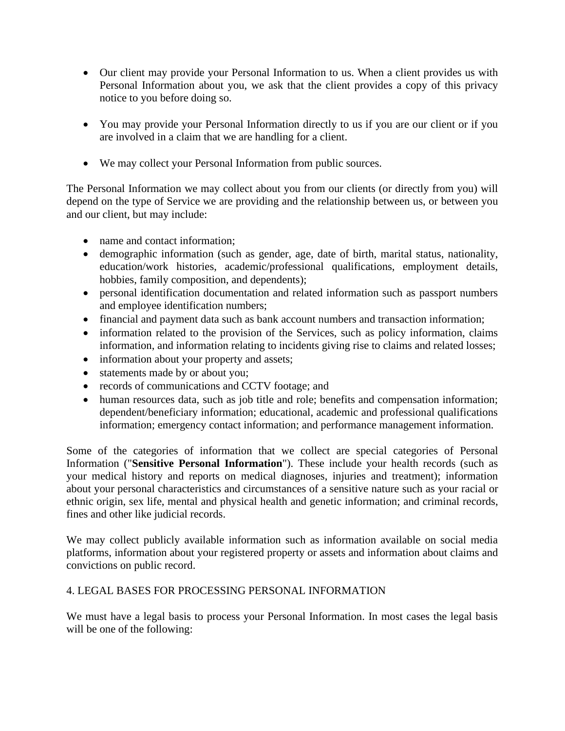- Our client may provide your Personal Information to us. When a client provides us with Personal Information about you, we ask that the client provides a copy of this privacy notice to you before doing so.
- You may provide your Personal Information directly to us if you are our client or if you are involved in a claim that we are handling for a client.
- We may collect your Personal Information from public sources.

The Personal Information we may collect about you from our clients (or directly from you) will depend on the type of Service we are providing and the relationship between us, or between you and our client, but may include:

- name and contact information;
- demographic information (such as gender, age, date of birth, marital status, nationality, education/work histories, academic/professional qualifications, employment details, hobbies, family composition, and dependents);
- personal identification documentation and related information such as passport numbers and employee identification numbers;
- financial and payment data such as bank account numbers and transaction information;
- information related to the provision of the Services, such as policy information, claims information, and information relating to incidents giving rise to claims and related losses;
- information about your property and assets;
- statements made by or about you;
- records of communications and CCTV footage; and
- human resources data, such as job title and role; benefits and compensation information; dependent/beneficiary information; educational, academic and professional qualifications information; emergency contact information; and performance management information.

Some of the categories of information that we collect are special categories of Personal Information ("**Sensitive Personal Information**"). These include your health records (such as your medical history and reports on medical diagnoses, injuries and treatment); information about your personal characteristics and circumstances of a sensitive nature such as your racial or ethnic origin, sex life, mental and physical health and genetic information; and criminal records, fines and other like judicial records.

We may collect publicly available information such as information available on social media platforms, information about your registered property or assets and information about claims and convictions on public record.

## 4. LEGAL BASES FOR PROCESSING PERSONAL INFORMATION

We must have a legal basis to process your Personal Information. In most cases the legal basis will be one of the following: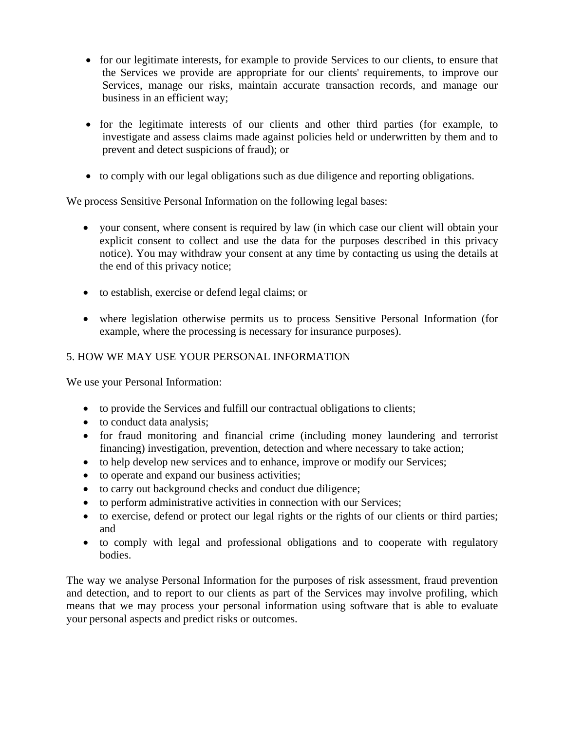- for our legitimate interests, for example to provide Services to our clients, to ensure that the Services we provide are appropriate for our clients' requirements, to improve our Services, manage our risks, maintain accurate transaction records, and manage our business in an efficient way;
- for the legitimate interests of our clients and other third parties (for example, to investigate and assess claims made against policies held or underwritten by them and to prevent and detect suspicions of fraud); or
- to comply with our legal obligations such as due diligence and reporting obligations.

We process Sensitive Personal Information on the following legal bases:

- your consent, where consent is required by law (in which case our client will obtain your explicit consent to collect and use the data for the purposes described in this privacy notice). You may withdraw your consent at any time by contacting us using the details at the end of this privacy notice;
- to establish, exercise or defend legal claims; or
- where legislation otherwise permits us to process Sensitive Personal Information (for example, where the processing is necessary for insurance purposes).

### 5. HOW WE MAY USE YOUR PERSONAL INFORMATION

We use your Personal Information:

- to provide the Services and fulfill our contractual obligations to clients;
- to conduct data analysis;
- for fraud monitoring and financial crime (including money laundering and terrorist financing) investigation, prevention, detection and where necessary to take action;
- to help develop new services and to enhance, improve or modify our Services;
- to operate and expand our business activities;
- to carry out background checks and conduct due diligence;
- to perform administrative activities in connection with our Services;
- to exercise, defend or protect our legal rights or the rights of our clients or third parties; and
- to comply with legal and professional obligations and to cooperate with regulatory bodies.

The way we analyse Personal Information for the purposes of risk assessment, fraud prevention and detection, and to report to our clients as part of the Services may involve profiling, which means that we may process your personal information using software that is able to evaluate your personal aspects and predict risks or outcomes.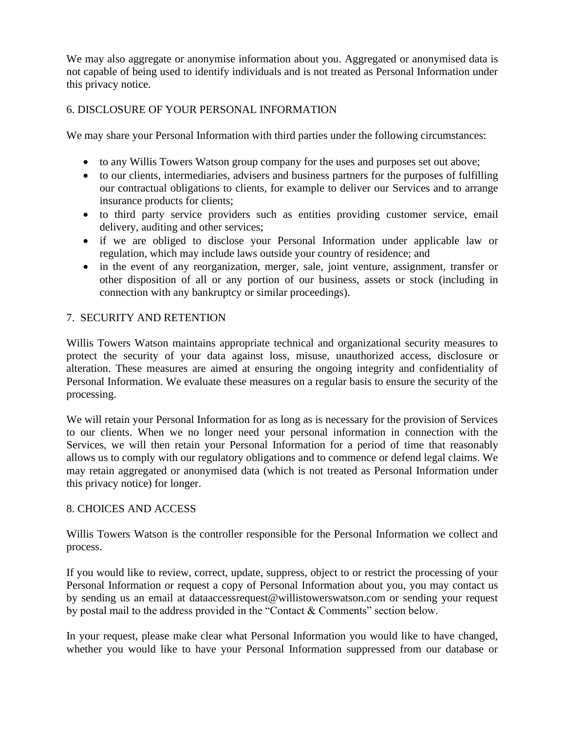We may also aggregate or anonymise information about you. Aggregated or anonymised data is not capable of being used to identify individuals and is not treated as Personal Information under this privacy notice.

# 6. DISCLOSURE OF YOUR PERSONAL INFORMATION

We may share your Personal Information with third parties under the following circumstances:

- to any Willis Towers Watson group company for the uses and purposes set out above;
- to our clients, intermediaries, advisers and business partners for the purposes of fulfilling our contractual obligations to clients, for example to deliver our Services and to arrange insurance products for clients;
- to third party service providers such as entities providing customer service, email delivery, auditing and other services;
- if we are obliged to disclose your Personal Information under applicable law or regulation, which may include laws outside your country of residence; and
- in the event of any reorganization, merger, sale, joint venture, assignment, transfer or other disposition of all or any portion of our business, assets or stock (including in connection with any bankruptcy or similar proceedings).

# 7. SECURITY AND RETENTION

Willis Towers Watson maintains appropriate technical and organizational security measures to protect the security of your data against loss, misuse, unauthorized access, disclosure or alteration. These measures are aimed at ensuring the ongoing integrity and confidentiality of Personal Information. We evaluate these measures on a regular basis to ensure the security of the processing.

We will retain your Personal Information for as long as is necessary for the provision of Services to our clients. When we no longer need your personal information in connection with the Services, we will then retain your Personal Information for a period of time that reasonably allows us to comply with our regulatory obligations and to commence or defend legal claims. We may retain aggregated or anonymised data (which is not treated as Personal Information under this privacy notice) for longer.

## 8. CHOICES AND ACCESS

Willis Towers Watson is the controller responsible for the Personal Information we collect and process.

If you would like to review, correct, update, suppress, object to or restrict the processing of your Personal Information or request a copy of Personal Information about you, you may contact us by sending us an email at dataaccessrequest@willistowerswatson.com or sending your request by postal mail to the address provided in the "Contact & Comments" section below.

In your request, please make clear what Personal Information you would like to have changed, whether you would like to have your Personal Information suppressed from our database or